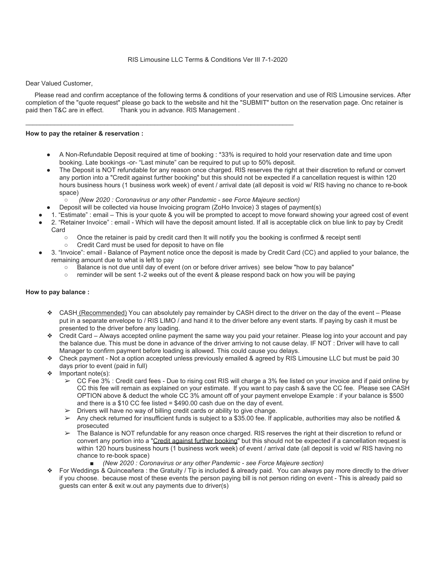Dear Valued Customer,

 Please read and confirm acceptance of the following terms & conditions of your reservation and use of RIS Limousine services. After completion of the "quote request" please go back to the website and hit the "SUBMIT" button on the reservation page. Onc retainer is paid then T&C are in effect. Thank you in advance. RIS Management. Thank you in advance. RIS Management .

#### **How to pay the retainer & reservation :**

- A Non-Refundable Deposit required at time of booking : \*33% is required to hold your reservation date and time upon booking. Late bookings -or- "Last minute" can be required to put up to 50% deposit.
- The Deposit is NOT refundable for any reason once charged. RIS reserves the right at their discretion to refund or convert any portion into a "Credit against further booking" but this should not be expected if a cancellation request is within 120 hours business hours (1 business work week) of event / arrival date (all deposit is void w/ RIS having no chance to re-book space)
	- *(New 2020 : Coronavirus or any other Pandemic see Force Majeure section)*

 $\mathcal{L}_\mathcal{L} = \{ \mathcal{L}_\mathcal{L} = \{ \mathcal{L}_\mathcal{L} = \{ \mathcal{L}_\mathcal{L} = \{ \mathcal{L}_\mathcal{L} = \{ \mathcal{L}_\mathcal{L} = \{ \mathcal{L}_\mathcal{L} = \{ \mathcal{L}_\mathcal{L} = \{ \mathcal{L}_\mathcal{L} = \{ \mathcal{L}_\mathcal{L} = \{ \mathcal{L}_\mathcal{L} = \{ \mathcal{L}_\mathcal{L} = \{ \mathcal{L}_\mathcal{L} = \{ \mathcal{L}_\mathcal{L} = \{ \mathcal{L}_\mathcal{$ 

- Deposit will be collected via house Invoicing program (ZoHo Invoice) 3 stages of payment(s)
- 1. "Estimate" : email This is your quote & you will be prompted to accept to move forward showing your agreed cost of event
- 2. "Retainer Invoice" : email Which will have the deposit amount listed. If all is acceptable click on blue link to pay by Credit **Card** 
	- Once the retainer is paid by credit card then It will notify you the booking is confirmed & receipt sentl
	- Credit Card must be used for deposit to have on file
- 3. "Invoice": email Balance of Payment notice once the deposit is made by Credit Card (CC) and applied to your balance, the remaining amount due to what is left to pay
	- Balance is not due until day of event (on or before driver arrives) see below "how to pay balance"
	- reminder will be sent 1-2 weeks out of the event & please respond back on how you will be paying

#### **How to pay balance :**

- ❖ CASH (Recommended) You can absolutely pay remainder by CASH direct to the driver on the day of the event Please put in a separate envelope to / RIS LIMO / and hand it to the driver before any event starts. If paying by cash it must be presented to the driver before any loading.
- ❖ Credit Card Always accepted online payment the same way you paid your retainer. Please log into your account and pay the balance due. This must be done in advance of the driver arriving to not cause delay. IF NOT : Driver will have to call Manager to confirm payment before loading is allowed. This could cause you delays.
- ❖ Check payment Not a option accepted unless previously emailed & agreed by RIS Limousine LLC but must be paid 30 days prior to event (paid in full)
- ❖ Important note(s):
	- $\geq$  CC Fee 3% : Credit card fees Due to rising cost RIS will charge a 3% fee listed on your invoice and if paid online by CC this fee will remain as explained on your estimate. If you want to pay cash & save the CC fee. Please see CASH OPTION above & deduct the whole CC 3% amount off of your payment envelope Example : if your balance is \$500 and there is a \$10 CC fee listed = \$490.00 cash due on the day of event.
	- $\triangleright$  Drivers will have no way of billing credit cards or ability to give change.
	- $\geq$  Any check returned for insufficient funds is subject to a \$35.00 fee. If applicable, authorities may also be notified & prosecuted
	- ➢ The Balance is NOT refundable for any reason once charged. RIS reserves the right at their discretion to refund or convert any portion into a "Credit against further booking" but this should not be expected if a cancellation request is within 120 hours business hours (1 business work week) of event / arrival date (all deposit is void w/ RIS having no chance to re-book space)
		- *(New 2020 : Coronavirus or any other Pandemic see Force Majeure section)*
- ❖ For Weddings & Quinceañera : the Gratuity / Tip is included & already paid. You can always pay more directly to the driver if you choose. because most of these events the person paying bill is not person riding on event - This is already paid so guests can enter & exit w.out any payments due to driver(s)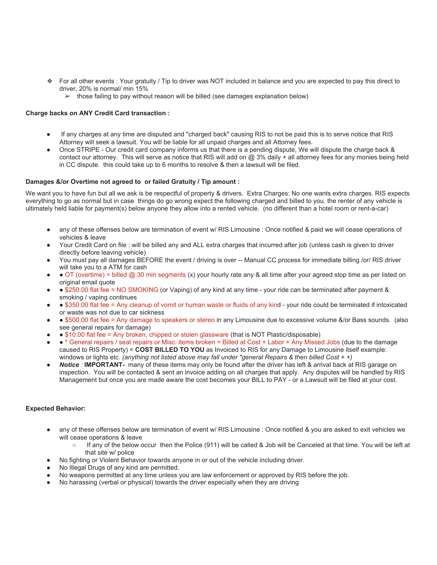- ❖ For all other events : Your gratuity / Tip to driver was NOT included in balance and you are expected to pay this direct to driver, 20% is normal/ min 15%
	- $\triangleright$  those failing to pay without reason will be billed (see damages explanation below)

### **Charge backs on ANY Credit Card transaction :**

- If any charges at any time are disputed and "charged back" causing RIS to not be paid this is to serve notice that RIS Attorney will seek a lawsuit. You will be liable for all unpaid charges and all Attorney fees.
- Once STRIPE Our credit card company informs us that there is a pending dispute, We will dispute the charge back & contact our attorney. This will serve as notice that RIS will add on @ 3% daily + all attorney fees for any monies being held in CC dispute. this could take up to 6 months to resolve & then a lawsuit will be filed.

### **Damages &/or Overtime not agreed to or failed Gratuity / Tip amount :**

We want you to have fun but all we ask is be respectful of property & drivers. Extra Charges: No one wants extra charges. RIS expects everything to go as normal but in case things do go wrong expect the following charged and billed to you. the renter of any vehicle is ultimately held liable for payment(s) below anyone they allow into a rented vehicle. (no different than a hotel room or rent-a-car)

- any of these offenses below are termination of event w/ RIS Limousine : Once notified & paid we will cease operations of vehicles & leave
- Your Credit Card on file : will be billed any and ALL extra charges that incurred after job (unless cash is given to driver directly before leaving vehicle)
- You must pay all damages BEFORE the event / driving is over -- Manual CC process for immediate billing /or/ RIS driver will take you to a ATM for cash
- OT (overtime) = billed @ 30 min segments (x) your hourly rate any & all time after your agreed stop time as per listed on original email quote
- ● \$250.00 flat fee = NO SMOKING (or Vaping) of any kind at any time your ride can be terminated after payment & smoking / vaping continues
- \$350.00 flat fee = Any cleanup of vomit or human waste or fluids of any kind your ride could be terminated if intoxicated or waste was not due to car sickness
- \$500.00 flat fee = Any damage to speakers or stereo in any Limousine due to excessive volume &/or Bass sounds. (also see general repairs for damage)
- \$10.00 flat fee = Any broken, chipped or stolen glassware (that is NOT Plastic/disposable)
- ● \* General repairs / seat repairs or Misc. items broken = Billed at Cost + Labor + Any Missed Jobs (due to the damage caused to RIS Property) = **COST BILLED TO YOU** as Invoiced to RIS for any Damage to Limousine itself example: windows or lights etc. *(anything not listed above may fall under "general Repairs & then billed Cost + +)*
- **Notice** : **IMPORTANT** many of these items may only be found after the driver has left & arrival back at RIS garage on inspection. You will be contacted & sent an invoice adding on all charges that apply. Any disputes will be handled by RIS Management but once you are made aware the cost becomes your BILL to PAY - or a Lawsuit will be filed at your cost.

# **Expected Behavior:**

- any of these offenses below are termination of event w/ RIS Limousine : Once notified & you are asked to exit vehicles we will cease operations & leave
	- If any of the below occur then the Police (911) will be called & Job will be Canceled at that time. You will be left at that site w/ police
- No fighting or Violent Behavior towards anyone in or out of the vehicle including driver.
- No Illegal Drugs of any kind are permitted.
- No weapons permitted at any time unless you are law enforcement or approved by RIS before the job.
- No harassing (verbal or physical) towards the driver especially when they are driving